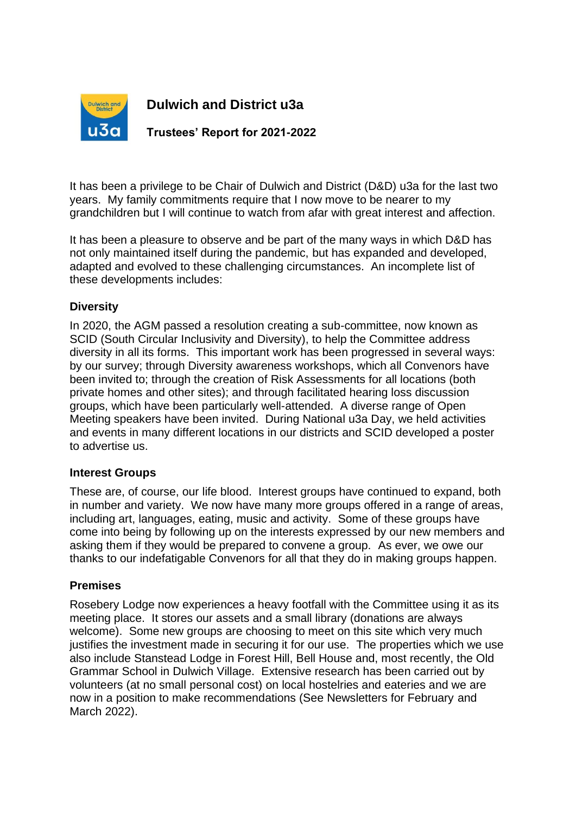

# **Dulwich and District u3a**

**Trustees' Report for 2021-2022**

It has been a privilege to be Chair of Dulwich and District (D&D) u3a for the last two years. My family commitments require that I now move to be nearer to my grandchildren but I will continue to watch from afar with great interest and affection.

It has been a pleasure to observe and be part of the many ways in which D&D has not only maintained itself during the pandemic, but has expanded and developed, adapted and evolved to these challenging circumstances. An incomplete list of these developments includes:

## **Diversity**

In 2020, the AGM passed a resolution creating a sub-committee, now known as SCID (South Circular Inclusivity and Diversity), to help the Committee address diversity in all its forms. This important work has been progressed in several ways: by our survey; through Diversity awareness workshops, which all Convenors have been invited to; through the creation of Risk Assessments for all locations (both private homes and other sites); and through facilitated hearing loss discussion groups, which have been particularly well-attended. A diverse range of Open Meeting speakers have been invited. During National u3a Day, we held activities and events in many different locations in our districts and SCID developed a poster to advertise us.

### **Interest Groups**

These are, of course, our life blood. Interest groups have continued to expand, both in number and variety. We now have many more groups offered in a range of areas, including art, languages, eating, music and activity. Some of these groups have come into being by following up on the interests expressed by our new members and asking them if they would be prepared to convene a group. As ever, we owe our thanks to our indefatigable Convenors for all that they do in making groups happen.

### **Premises**

Rosebery Lodge now experiences a heavy footfall with the Committee using it as its meeting place. It stores our assets and a small library (donations are always welcome). Some new groups are choosing to meet on this site which very much justifies the investment made in securing it for our use. The properties which we use also include Stanstead Lodge in Forest Hill, Bell House and, most recently, the Old Grammar School in Dulwich Village. Extensive research has been carried out by volunteers (at no small personal cost) on local hostelries and eateries and we are now in a position to make recommendations (See Newsletters for February and March 2022).